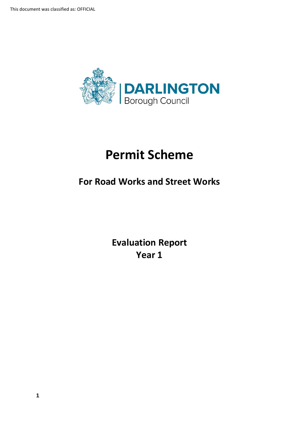

# **Permit Scheme**

## **For Road Works and Street Works**

**Evaluation Report Year 1**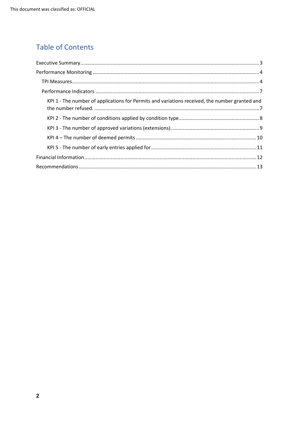## **Table of Contents**

| KPI 1 - The number of applications for Permits and variations received, the number granted and |  |
|------------------------------------------------------------------------------------------------|--|
|                                                                                                |  |
|                                                                                                |  |
|                                                                                                |  |
|                                                                                                |  |
|                                                                                                |  |
|                                                                                                |  |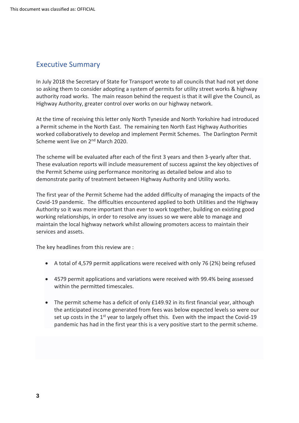## <span id="page-2-0"></span>Executive Summary

 In July 2018 the Secretary of State for Transport wrote to all councils that had not yet done so asking them to consider adopting a system of permits for utility street works & highway authority road works. The main reason behind the request is that it will give the Council, as Highway Authority, greater control over works on our highway network.

 At the time of receiving this letter only North Tyneside and North Yorkshire had introduced a Permit scheme in the North East. The remaining ten North East Highway Authorities worked collaboratively to develop and implement Permit Schemes. The Darlington Permit Scheme went live on 2<sup>nd</sup> March 2020.

 The scheme will be evaluated after each of the first 3 years and then 3-yearly after that. These evaluation reports will include measurement of success against the key objectives of the Permit Scheme using performance monitoring as detailed below and also to demonstrate parity of treatment between Highway Authority and Utility works.

 The first year of the Permit Scheme had the added difficulty of managing the impacts of the Covid-19 pandemic. The difficulties encountered applied to both Utilities and the Highway Authority so it was more important than ever to work together, building on existing good working relationships, in order to resolve any issues so we were able to manage and maintain the local highway network whilst allowing promoters access to maintain their services and assets.

The key headlines from this review are :

- A total of 4,579 permit applications were received with only 76 (2%) being refused
- • 4579 permit applications and variations were received with 99.4% being assessed within the permitted timescales.
- • The permit scheme has a deficit of only £149.92 in its first financial year, although the anticipated income generated from fees was below expected levels so were our set up costs in the  $1<sup>st</sup>$  year to largely offset this. Even with the impact the Covid-19 pandemic has had in the first year this is a very positive start to the permit scheme.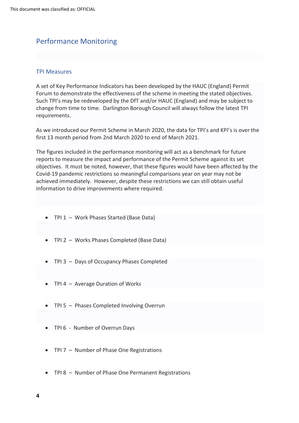## <span id="page-3-0"></span>Performance Monitoring

#### <span id="page-3-1"></span>TPI Measures

 A set of Key Performance Indicators has been developed by the HAUC (England) Permit Forum to demonstrate the effectiveness of the scheme in meeting the stated objectives. Such TPI's may be redeveloped by the DfT and/or HAUC (England) and may be subject to change from time to time. Darlington Borough Council will always follow the latest TPI requirements.

 As we introduced our Permit Scheme in March 2020, the data for TPI's and KPI's is over the first 13 month period from 2nd March 2020 to end of March 2021.

 The figures included in the performance monitoring will act as a benchmark for future reports to measure the impact and performance of the Permit Scheme against its set objectives. It must be noted, however, that these figures would have been affected by the Covid-19 pandemic restrictions so meaningful comparisons year on year may not be achieved immediately. However, despite these restrictions we can still obtain useful information to drive improvements where required.

- TPI 1 Work Phases Started (Base Data)
- TPI 2 Works Phases Completed (Base Data)
- TPI 3 Days of Occupancy Phases Completed
- TPI 4 Average Duration of Works
- TPI 5 Phases Completed Involving Overrun
- TPI 6 Number of Overrun Days
- TPI 7 Number of Phase One Registrations
- TPI 8 Number of Phase One Permanent Registrations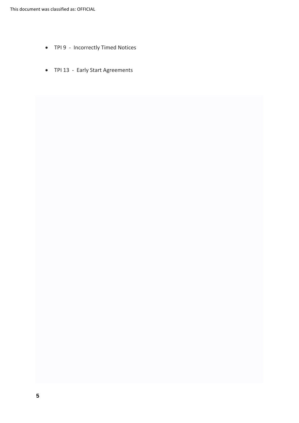- TPI 9 Incorrectly Timed Notices
- TPI 13 Early Start Agreements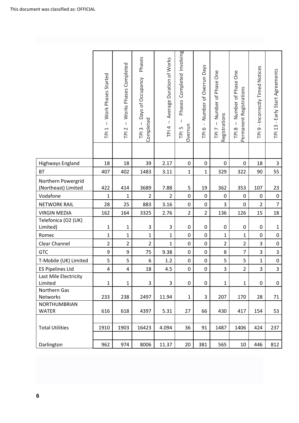|                                           | Work Phases Started<br>$\mathbf{I}$<br>$\overline{\phantom{0}}$<br>$\overline{P}$ | Works Phases Completed<br>$\mathbf{I}$<br>$\sim$<br>$\overline{P}$ | Phases<br>Days of Occupancy<br>Completed<br>TPI <sub>3</sub> | Average Duration of Works<br>$\mathsf I$<br>TPI <sub>4</sub> | Phases Completed Involving<br>Overrun<br>LN<br>$\overline{P}$ | Number of Overrun Days<br>$\mathbf{I}$<br>TPI6 | One<br>Number of Phase<br>Registrations<br>$\overline{1}$<br>TPI <sub>7</sub> | One<br>Number of Phase<br>Permanent Registrations<br>$\mathsf I$<br>TPI 8 | TPI 9 - Incorrectly Timed Notices | TPI 13 - Early Start Agreements |
|-------------------------------------------|-----------------------------------------------------------------------------------|--------------------------------------------------------------------|--------------------------------------------------------------|--------------------------------------------------------------|---------------------------------------------------------------|------------------------------------------------|-------------------------------------------------------------------------------|---------------------------------------------------------------------------|-----------------------------------|---------------------------------|
| <b>Highways England</b>                   | 18                                                                                | 18                                                                 | 39                                                           | 2.17                                                         | 0                                                             | $\mathbf 0$                                    | 0                                                                             | 0                                                                         | 18                                | 3                               |
| <b>BT</b>                                 | 407                                                                               | 402                                                                | 1483                                                         | 3.11                                                         | $\mathbf{1}$                                                  | $\mathbf{1}$                                   | 329                                                                           | 322                                                                       | 90                                | 55                              |
| Northern Powergrid<br>(Northeast) Limited | 422                                                                               | 414                                                                | 3689                                                         | 7.88                                                         | 5                                                             | 19                                             | 362                                                                           | 353                                                                       | 107                               | 23                              |
| Vodafone                                  | 1                                                                                 | $\mathbf{1}$                                                       | $\overline{2}$                                               | $\overline{2}$                                               | $\pmb{0}$                                                     | 0                                              | 0                                                                             | 0                                                                         | 0                                 | $\pmb{0}$                       |
| <b>NETWORK RAIL</b>                       | 28                                                                                | 25                                                                 | 883                                                          | 3.16                                                         | $\pmb{0}$                                                     | $\pmb{0}$                                      | 3                                                                             | 0                                                                         | $\overline{2}$                    | $\overline{7}$                  |
| <b>VIRGIN MEDIA</b>                       | 162                                                                               | 164                                                                | 3325                                                         | 2.76                                                         | $\overline{2}$                                                | $\overline{2}$                                 | 136                                                                           | 126                                                                       | 15                                | 18                              |
| Telefonica (O2 (UK)<br>Limited)           | $\mathbf{1}$                                                                      | $\mathbf{1}$                                                       | 3                                                            | 3                                                            | $\pmb{0}$                                                     | 0                                              | 0                                                                             | 0                                                                         | $\pmb{0}$                         | $\mathbf{1}$                    |
| Romec                                     | $\mathbf{1}$                                                                      | $\mathbf{1}$                                                       | $\mathbf 1$                                                  | $\mathbf{1}$                                                 | 0                                                             | $\mathbf 0$                                    | $\mathbf{1}$                                                                  | $\mathbf{1}$                                                              | 0                                 | $\pmb{0}$                       |
| Clear Channel                             | $\overline{2}$                                                                    | $\overline{2}$                                                     | $\overline{2}$                                               | 1                                                            | $\pmb{0}$                                                     | $\pmb{0}$                                      | $\overline{2}$                                                                | $\overline{2}$                                                            | 3                                 | $\pmb{0}$                       |
| <b>GTC</b>                                | 9                                                                                 | 9                                                                  | 75                                                           | 9.38                                                         | $\pmb{0}$                                                     | 0                                              | 8                                                                             | $\overline{7}$                                                            | 3                                 | $\overline{3}$                  |
| T-Mobile (UK) Limited                     | 5                                                                                 | 5                                                                  | 6                                                            | $1.2\,$                                                      | $\pmb{0}$                                                     | $\pmb{0}$                                      | 5                                                                             | 5                                                                         | $\mathbf 1$                       | $\mathbf 0$                     |
| <b>ES Pipelines Ltd</b>                   | 4                                                                                 | 4                                                                  | 18                                                           | 4.5                                                          | 0                                                             | 0                                              | 3                                                                             | $\overline{2}$                                                            | 3                                 | 3                               |
| Last Mile Electricity<br>Limited          | $\mathbf{1}$                                                                      | $\mathbf 1$                                                        | 3                                                            | 3                                                            | 0                                                             | $\pmb{0}$                                      | $\mathbf{1}$                                                                  | $\mathbf 1$                                                               | 0                                 | 0                               |
| Northern Gas<br>Networks                  | 233                                                                               | 238                                                                | 2497                                                         | 11.94                                                        | $\mathbf 1$                                                   | 3                                              | 207                                                                           | 170                                                                       | 28                                | 71                              |
| NORTHUMBRIAN                              |                                                                                   |                                                                    |                                                              |                                                              |                                                               |                                                |                                                                               |                                                                           |                                   |                                 |
| <b>WATER</b>                              | 616                                                                               | 618                                                                | 4397                                                         | 5.31                                                         | 27                                                            | 66                                             | 430                                                                           | 417                                                                       | 154                               | 53                              |
| <b>Total Utilities</b>                    | 1910                                                                              | 1903                                                               | 16423                                                        | 4.094                                                        | 36                                                            | 91                                             | 1487                                                                          | 1406                                                                      | 424                               | 237                             |
| Darlington                                | 962                                                                               | 974                                                                | 8006                                                         | 11.37                                                        | 20                                                            | 381                                            | 565                                                                           | 10                                                                        | 446                               | 812                             |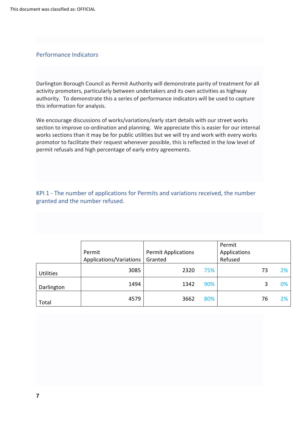#### <span id="page-6-0"></span>Performance Indicators

 activity promoters, particularly between undertakers and its own activities as highway authority. To demonstrate this a series of performance indicators will be used to capture Darlington Borough Council as Permit Authority will demonstrate parity of treatment for all this information for analysis.

 We encourage discussions of works/variations/early start details with our street works section to improve co-ordination and planning. We appreciate this is easier for our internal works sections than it may be for public utilities but we will try and work with every works promotor to facilitate their request whenever possible, this is reflected in the low level of permit refusals and high percentage of early entry agreements.

<span id="page-6-1"></span> KPI 1 - The number of applications for Permits and variations received, the number granted and the number refused.

|                  | Permit<br>Applications/Variations | <b>Permit Applications</b><br>Granted |     | Permit<br>Applications<br>Refused |    |       |
|------------------|-----------------------------------|---------------------------------------|-----|-----------------------------------|----|-------|
| <b>Utilities</b> | 3085                              | 2320                                  | 75% |                                   | 73 | $2\%$ |
| Darlington       | 1494                              | 1342                                  | 90% |                                   | 3  | 0%    |
| Total            | 4579                              | 3662                                  | 80% |                                   | 76 | $2\%$ |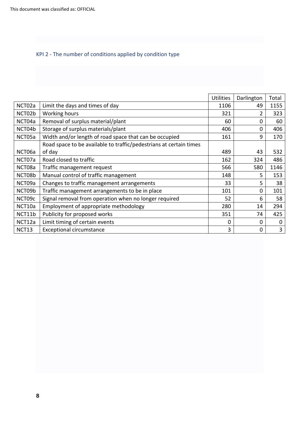#### <span id="page-7-0"></span>KPI 2 - The number of conditions applied by condition type

|        |                                                                    | <b>Utilities</b> | Darlington | Total |
|--------|--------------------------------------------------------------------|------------------|------------|-------|
| NCT02a | Limit the days and times of day                                    | 1106             | 49         | 1155  |
| NCT02b | Working hours                                                      | 321              | 2          | 323   |
| NCT04a | Removal of surplus material/plant                                  | 60               | $\Omega$   | 60    |
| NCT04b | Storage of surplus materials/plant                                 | 406              | 0          | 406   |
| NCT05a | Width and/or length of road space that can be occupied             | 161              | 9          | 170   |
|        | Road space to be available to traffic/pedestrians at certain times |                  |            |       |
| NCT06a | of day                                                             | 489              | 43         | 532   |
| NCT07a | Road closed to traffic                                             | 162              | 324        | 486   |
| NCT08a | Traffic management request                                         | 566              | 580        | 1146  |
| NCT08b | Manual control of traffic management                               | 148              | 5.         | 153   |
| NCT09a | Changes to traffic management arrangements                         | 33               | 5          | 38    |
| NCT09b | Traffic management arrangements to be in place                     | 101              | 0          | 101   |
| NCT09c | Signal removal from operation when no longer required              | 52               | 6          | 58    |
| NCT10a | Employment of appropriate methodology                              | 280              | 14         | 294   |
| NCT11b | Publicity for proposed works                                       | 351              | 74         | 425   |
| NCT12a | Limit timing of certain events                                     | $\Omega$         | 0          | 0     |
| NCT13  | <b>Exceptional circumstance</b>                                    | 3                | 0          | 3     |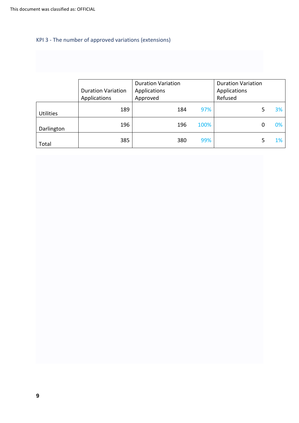#### <span id="page-8-0"></span>KPI 3 - The number of approved variations (extensions)

|                  | <b>Duration Variation</b><br>Applications | <b>Duration Variation</b><br>Applications<br>Approved |     |      | <b>Duration Variation</b><br>Applications<br>Refused |   |       |
|------------------|-------------------------------------------|-------------------------------------------------------|-----|------|------------------------------------------------------|---|-------|
| <b>Utilities</b> | 189                                       |                                                       | 184 | 97%  |                                                      | 5 | 3%    |
| Darlington       | 196                                       |                                                       | 196 | 100% |                                                      | 0 | 0%    |
| Total            | 385                                       |                                                       | 380 | 99%  |                                                      | 5 | $1\%$ |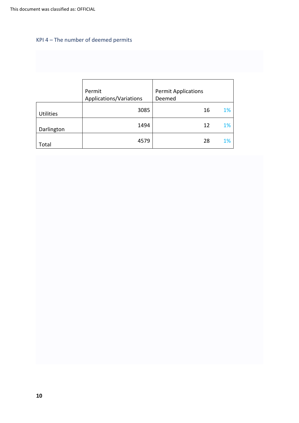## <span id="page-9-0"></span>KPI 4 – The number of deemed permits

|                  | Permit<br>Applications/Variations | <b>Permit Applications</b><br>Deemed |
|------------------|-----------------------------------|--------------------------------------|
| <b>Utilities</b> | 3085                              | 1%<br>16                             |
| Darlington       | 1494                              | 1%<br>12                             |
| Total            | 4579                              | 1%<br>28                             |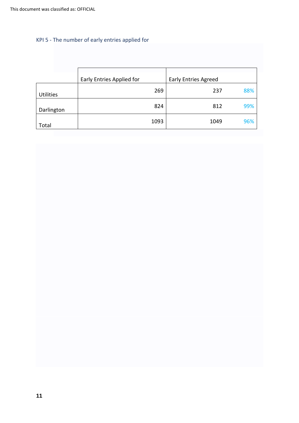## <span id="page-10-0"></span>KPI 5 - The number of early entries applied for

|                  | Early Entries Applied for | <b>Early Entries Agreed</b> |
|------------------|---------------------------|-----------------------------|
| <b>Utilities</b> | 269                       | 88%<br>237                  |
| Darlington       | 824                       | 99%<br>812                  |
| Total            | 1093                      | 96%<br>1049                 |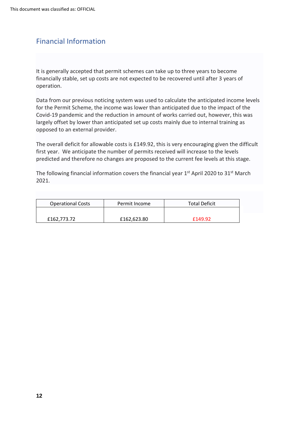## <span id="page-11-0"></span>Financial Information

 It is generally accepted that permit schemes can take up to three years to become financially stable, set up costs are not expected to be recovered until after 3 years of operation.

 for the Permit Scheme, the income was lower than anticipated due to the impact of the Covid-19 pandemic and the reduction in amount of works carried out, however, this was largely offset by lower than anticipated set up costs mainly due to internal training as opposed to an external provider. Data from our previous noticing system was used to calculate the anticipated income levels

 The overall deficit for allowable costs is £149.92, this is very encouraging given the difficult first year. We anticipate the number of permits received will increase to the levels predicted and therefore no changes are proposed to the current fee levels at this stage.

The following financial information covers the financial year 1<sup>st</sup> April 2020 to 31<sup>st</sup> March 2021.

| <b>Operational Costs</b> | Permit Income | <b>Total Deficit</b> |
|--------------------------|---------------|----------------------|
|                          |               |                      |
| £162,773.72              | £162,623.80   | £149.92              |